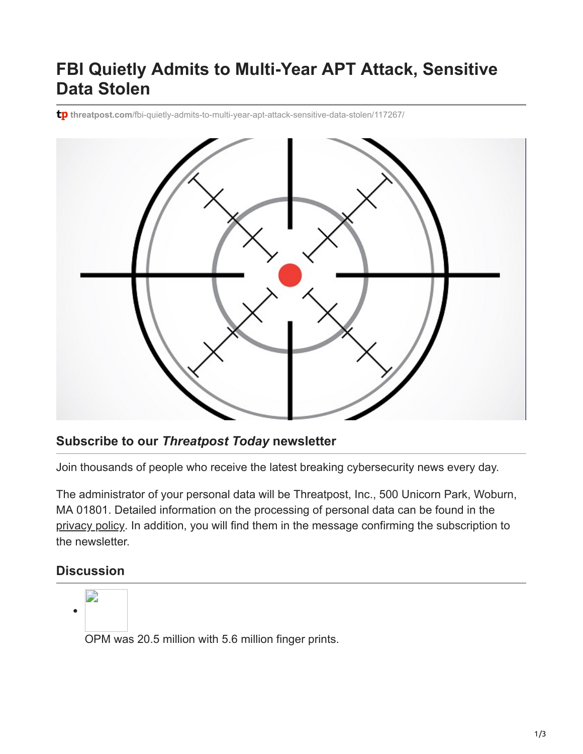## **FBI Quietly Admits to Multi-Year APT Attack, Sensitive Data Stolen**

tp threatpost.com[/fbi-quietly-admits-to-multi-year-apt-attack-sensitive-data-stolen/117267/](https://threatpost.com/fbi-quietly-admits-to-multi-year-apt-attack-sensitive-data-stolen/117267/)



## **Subscribe to our** *Threatpost Today* **newsletter**

Join thousands of people who receive the latest breaking cybersecurity news every day.

The administrator of your personal data will be Threatpost, Inc., 500 Unicorn Park, Woburn, MA 01801. Detailed information on the processing of personal data can be found in the [privacy policy](https://threatpost.com/web-privacy-policy/). In addition, you will find them in the message confirming the subscription to the newsletter.

## **Discussion**



OPM was 20.5 million with 5.6 million finger prints.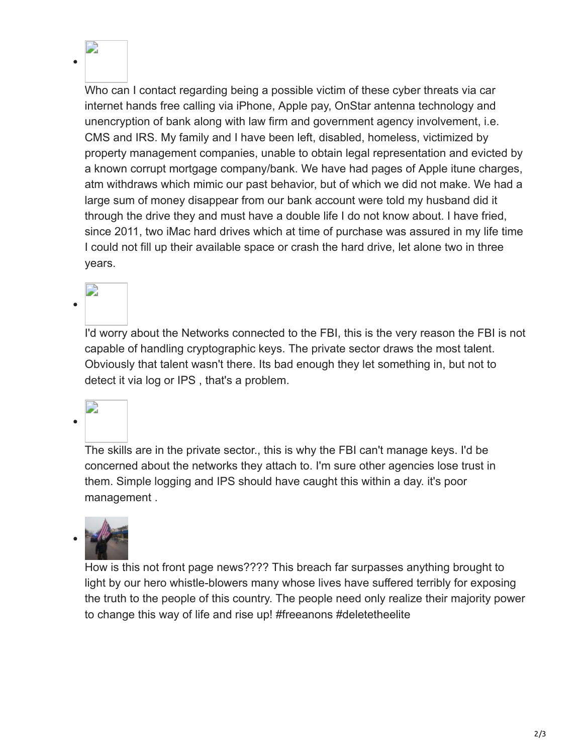Who can I contact regarding being a possible victim of these cyber threats via car internet hands free calling via iPhone, Apple pay, OnStar antenna technology and unencryption of bank along with law firm and government agency involvement, i.e. CMS and IRS. My family and I have been left, disabled, homeless, victimized by property management companies, unable to obtain legal representation and evicted by a known corrupt mortgage company/bank. We have had pages of Apple itune charges, atm withdraws which mimic our past behavior, but of which we did not make. We had a large sum of money disappear from our bank account were told my husband did it through the drive they and must have a double life I do not know about. I have fried, since 2011, two iMac hard drives which at time of purchase was assured in my life time I could not fill up their available space or crash the hard drive, let alone two in three years.

I'd worry about the Networks connected to the FBI, this is the very reason the FBI is not capable of handling cryptographic keys. The private sector draws the most talent. Obviously that talent wasn't there. Its bad enough they let something in, but not to detect it via log or IPS , that's a problem.

The skills are in the private sector., this is why the FBI can't manage keys. I'd be concerned about the networks they attach to. I'm sure other agencies lose trust in them. Simple logging and IPS should have caught this within a day. it's poor management .



How is this not front page news???? This breach far surpasses anything brought to light by our hero whistle-blowers many whose lives have suffered terribly for exposing the truth to the people of this country. The people need only realize their majority power to change this way of life and rise up! #freeanons #deletetheelite